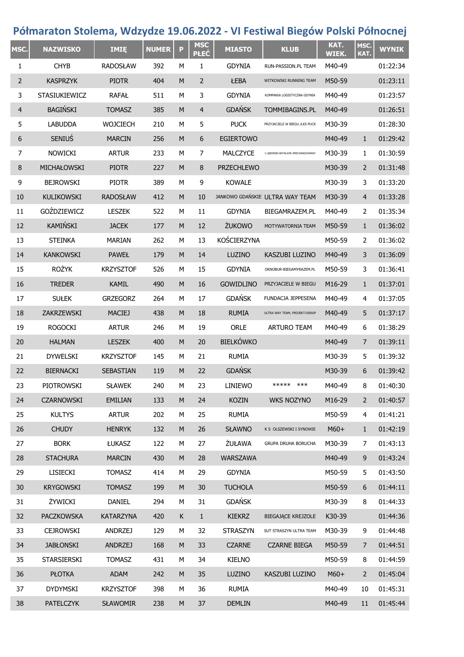## **Półmaraton Stolema, Wdzydze 19.06.2022 - VI Festiwal Biegów Polski Północnej**

| MSC. | <b>NAZWISKO</b>      | <b>IMIE</b>      | <b>NUMER</b> | P | <b>MSC</b><br><b>PŁEĆ</b> | <b>MIASTO</b>     | <b>KLUB</b>                        | KAT.<br><b>WIEK.</b> | MSC.<br>KAT.   | <b>WYNIK</b> |
|------|----------------------|------------------|--------------|---|---------------------------|-------------------|------------------------------------|----------------------|----------------|--------------|
| 1    | <b>CHYB</b>          | <b>RADOSŁAW</b>  | 392          | М | 1                         | <b>GDYNIA</b>     | RUN-PASSION.PL TEAM                | M40-49               |                | 01:22:34     |
| 2    | <b>KASPRZYK</b>      | <b>PIOTR</b>     | 404          | M | $\overline{2}$            | ŁEBA              | WITKOWSKI RUNNING TEAM             | M50-59               |                | 01:23:11     |
| 3    | <b>STASIUKIEWICZ</b> | <b>RAFAŁ</b>     | 511          | М | 3                         | <b>GDYNIA</b>     | KOMPANIA LOGISTYCZNA GDYNIA        | M40-49               |                | 01:23:57     |
| 4    | <b>BAGIŃSKI</b>      | <b>TOMASZ</b>    | 385          | M | $\overline{4}$            | <b>GDAŃSK</b>     | <b>TOMMIBAGINS.PL</b>              | M40-49               |                | 01:26:51     |
| 5    | <b>LABUDDA</b>       | <b>WOJCIECH</b>  | 210          | М | 5                         | <b>PUCK</b>       | PRZYJACIELE W BIEGU /LKS PUCK      | M30-39               |                | 01:28:30     |
| 6    | <b>SENIUS</b>        | <b>MARCIN</b>    | 256          | M | 6                         | <b>EGIERTOWO</b>  |                                    | M40-49               | $\mathbf{1}$   | 01:29:42     |
| 7    | <b>NOWICKI</b>       | <b>ARTUR</b>     | 233          | M | 7                         | <b>MALCZYCE</b>   | 1 LEBORSKI BATALION ZMECHANIZOWANY | M30-39               | 1              | 01:30:59     |
| 8    | MICHAŁOWSKI          | <b>PIOTR</b>     | 227          | M | 8                         | <b>PRZECHLEWO</b> |                                    | M30-39               | 2              | 01:31:48     |
| 9    | <b>BEJROWSKI</b>     | <b>PIOTR</b>     | 389          | М | 9                         | <b>KOWALE</b>     |                                    | M30-39               | 3              | 01:33:20     |
| 10   | <b>KULIKOWSKI</b>    | <b>RADOSŁAW</b>  | 412          | M | 10                        |                   | JANKOWO GDAŃSKIE ULTRA WAY TEAM    | M30-39               | 4              | 01:33:28     |
| 11   | GOŹDZIEWICZ          | <b>LESZEK</b>    | 522          | М | 11                        | <b>GDYNIA</b>     | BIEGAMRAZEM.PL                     | M40-49               | 2              | 01:35:34     |
| 12   | KAMIŃSKI             | <b>JACEK</b>     | 177          | M | 12                        | ŻUKOWO            | MOTYWATORNIA TEAM                  | M50-59               | $\mathbf{1}$   | 01:36:02     |
| 13   | <b>STEINKA</b>       | <b>MARIAN</b>    | 262          | М | 13                        | KOŚCIERZYNA       |                                    | M50-59               | 2              | 01:36:02     |
| 14   | <b>KANKOWSKI</b>     | <b>PAWEŁ</b>     | 179          | M | 14                        | LUZINO            | KASZUBI LUZINO                     | M40-49               | 3              | 01:36:09     |
| 15   | <b>ROŻYK</b>         | <b>KRZYSZTOF</b> | 526          | М | 15                        | <b>GDYNIA</b>     | OKNOBUR-BIEGAMYRAZEM.PL            | M50-59               | 3              | 01:36:41     |
| 16   | <b>TREDER</b>        | <b>KAMIL</b>     | 490          | M | 16                        | <b>GOWIDLINO</b>  | PRZYJACIELE W BIEGU                | M16-29               | 1              | 01:37:01     |
| 17   | <b>SUŁEK</b>         | <b>GRZEGORZ</b>  | 264          | М | 17                        | <b>GDAŃSK</b>     | FUNDACJA JEPPESENA                 | M40-49               | 4              | 01:37:05     |
| 18   | ZAKRZEWSKI           | <b>MACIEJ</b>    | 438          | M | 18                        | <b>RUMIA</b>      | ULTRA WAY TEAM, PROJEKT1000UP      | M40-49               | 5              | 01:37:17     |
| 19   | <b>ROGOCKI</b>       | <b>ARTUR</b>     | 246          | М | 19                        | <b>ORLE</b>       | <b>ARTURO TEAM</b>                 | M40-49               | 6              | 01:38:29     |
| 20   | <b>HALMAN</b>        | <b>LESZEK</b>    | 400          | M | 20                        | <b>BIELKÓWKO</b>  |                                    | M40-49               | 7              | 01:39:11     |
| 21   | <b>DYWELSKI</b>      | <b>KRZYSZTOF</b> | 145          | М | 21                        | <b>RUMIA</b>      |                                    | M30-39               | 5              | 01:39:32     |
| 22   | <b>BIERNACKI</b>     | SEBASTIAN        | 119          | M | 22                        | <b>GDAŃSK</b>     |                                    | M30-39               | 6              | 01:39:42     |
| 23   | <b>PIOTROWSKI</b>    | <b>SŁAWEK</b>    | 240          | М | 23                        | LINIEWO           | *****<br>***                       | M40-49               | 8              | 01:40:30     |
| 24   | <b>CZARNOWSKI</b>    | <b>EMILIAN</b>   | 133          | M | 24                        | <b>KOZIN</b>      | <b>WKS NOZYNO</b>                  | M16-29               | $\overline{2}$ | 01:40:57     |
| 25   | <b>KULTYS</b>        | <b>ARTUR</b>     | 202          | М | 25                        | <b>RUMIA</b>      |                                    | M50-59               | 4              | 01:41:21     |
| 26   | <b>CHUDY</b>         | <b>HENRYK</b>    | 132          | M | 26                        | <b>SŁAWNO</b>     | K S OLSZEWSKI I SYNOWIE            | $M60+$               | $\mathbf{1}$   | 01:42:19     |
| 27   | <b>BORK</b>          | ŁUKASZ           | 122          | М | 27                        | ŻUŁAWA            | GRUPA DRUHA BORUCHA                | M30-39               | 7              | 01:43:13     |
| 28   | <b>STACHURA</b>      | <b>MARCIN</b>    | 430          | M | 28                        | <b>WARSZAWA</b>   |                                    | M40-49               | 9              | 01:43:24     |
| 29   | <b>LISIECKI</b>      | <b>TOMASZ</b>    | 414          | М | 29                        | <b>GDYNIA</b>     |                                    | M50-59               | 5              | 01:43:50     |
| 30   | <b>KRYGOWSKI</b>     | <b>TOMASZ</b>    | 199          | M | 30                        | <b>TUCHOLA</b>    |                                    | M50-59               | 6              | 01:44:11     |
| 31   | ŻYWICKI              | DANIEL           | 294          | М | 31                        | <b>GDAŃSK</b>     |                                    | M30-39               | 8              | 01:44:33     |
| 32   | <b>PACZKOWSKA</b>    | KATARZYNA        | 420          | K | $\mathbf 1$               | <b>KIEKRZ</b>     | <b>BIEGAJĄCE KREJZOLE</b>          | K30-39               |                | 01:44:36     |
| 33   | <b>CEJROWSKI</b>     | ANDRZEJ          | 129          | М | 32                        | <b>STRASZYN</b>   | SUT STRASZYN ULTRA TEAM            | M30-39               | 9              | 01:44:48     |
| 34   | <b>JABŁONSKI</b>     | <b>ANDRZEJ</b>   | 168          | M | 33                        | <b>CZARNE</b>     | <b>CZARNE BIEGA</b>                | M50-59               | $\overline{7}$ | 01:44:51     |
| 35   | STARSIERSKI          | <b>TOMASZ</b>    | 431          | М | 34                        | <b>KIELNO</b>     |                                    | M50-59               | 8              | 01:44:59     |
| 36   | <b>PŁOTKA</b>        | ADAM             | 242          | M | 35                        | LUZINO            | KASZUBI LUZINO                     | $M60+$               | $\overline{2}$ | 01:45:04     |
| 37   | <b>DYDYMSKI</b>      | <b>KRZYSZTOF</b> | 398          | М | 36                        | <b>RUMIA</b>      |                                    | M40-49               | 10             | 01:45:31     |
| 38   | <b>PATELCZYK</b>     | SŁAWOMIR         | 238          | M | 37                        | <b>DEMLIN</b>     |                                    | M40-49               | 11             | 01:45:44     |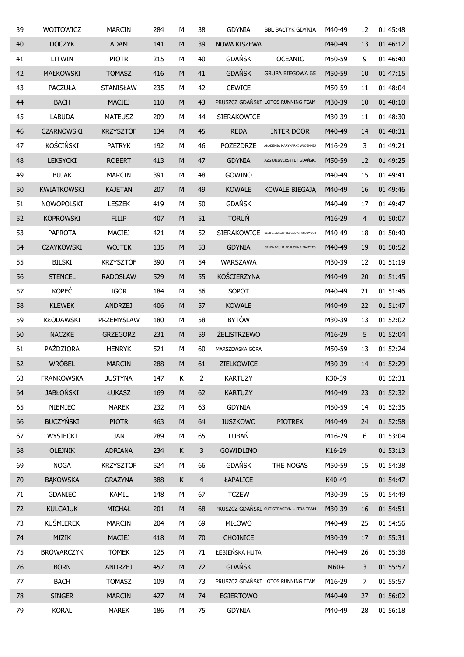| 39     | WOJTOWICZ          | <b>MARCIN</b>    | 284 | М         | 38             | <b>GDYNIA</b>       | <b>BBL BAŁTYK GDYNIA</b>                | M40-49 | 12             | 01:45:48 |
|--------|--------------------|------------------|-----|-----------|----------------|---------------------|-----------------------------------------|--------|----------------|----------|
| 40     | <b>DOCZYK</b>      | <b>ADAM</b>      | 141 | ${\sf M}$ | 39             | <b>NOWA KISZEWA</b> |                                         | M40-49 | 13             | 01:46:12 |
| 41     | LITWIN             | <b>PIOTR</b>     | 215 | М         | 40             | <b>GDAŃSK</b>       | <b>OCEANIC</b>                          | M50-59 | 9              | 01:46:40 |
| 42     | <b>MAŁKOWSKI</b>   | <b>TOMASZ</b>    | 416 | ${\sf M}$ | 41             | <b>GDAŃSK</b>       | <b>GRUPA BIEGOWA 65</b>                 | M50-59 | 10             | 01:47:15 |
| 43     | <b>PACZUŁA</b>     | STANISŁAW        | 235 | М         | 42             | <b>CEWICE</b>       |                                         | M50-59 | 11             | 01:48:04 |
| 44     | <b>BACH</b>        | <b>MACIEJ</b>    | 110 | M         | 43             |                     | PRUSZCZ GDAŃSKI LOTOS RUNNING TEAM      | M30-39 | 10             | 01:48:10 |
| 45     | <b>LABUDA</b>      | <b>MATEUSZ</b>   | 209 | M         | 44             | SIERAKOWICE         |                                         | M30-39 | 11             | 01:48:30 |
| 46     | <b>CZARNOWSKI</b>  | <b>KRZYSZTOF</b> | 134 | M         | 45             | <b>REDA</b>         | <b>INTER DOOR</b>                       | M40-49 | 14             | 01:48:31 |
| 47     | <b>KOŚCIŃSKI</b>   | <b>PATRYK</b>    | 192 | M         | 46             | <b>POZEZDRZE</b>    | AKADEMIA MARYNARKI WOJENNEJ             | M16-29 | 3              | 01:49:21 |
| 48     | <b>LEKSYCKI</b>    | <b>ROBERT</b>    | 413 | M         | 47             | <b>GDYNIA</b>       | AZS UNIWERSYTET GDAŃSKI                 | M50-59 | 12             | 01:49:25 |
| 49     | <b>BUJAK</b>       | <b>MARCIN</b>    | 391 | M         | 48             | GOWINO              |                                         | M40-49 | 15             | 01:49:41 |
| 50     | <b>KWIATKOWSKI</b> | <b>KAJETAN</b>   | 207 | M         | 49             | <b>KOWALE</b>       | KOWALE BIEGAJĄ                          | M40-49 | 16             | 01:49:46 |
| 51     | <b>NOWOPOLSKI</b>  | <b>LESZEK</b>    | 419 | М         | 50             | <b>GDAŃSK</b>       |                                         | M40-49 | 17             | 01:49:47 |
| 52     | <b>KOPROWSKI</b>   | <b>FILIP</b>     | 407 | ${\sf M}$ | 51             | <b>TORUŃ</b>        |                                         | M16-29 | $\overline{4}$ | 01:50:07 |
| 53     | <b>PAPROTA</b>     | <b>MACIEJ</b>    | 421 | М         | 52             | <b>SIERAKOWICE</b>  | KLUB BIEGACZY DŁUGODYSTANSOWYCH         | M40-49 | 18             | 01:50:40 |
| 54     | <b>CZAYKOWSKI</b>  | <b>WOJTEK</b>    | 135 | M         | 53             | <b>GDYNIA</b>       | GRUPA DRUHA BORUCHA & MAMY TO           | M40-49 | 19             | 01:50:52 |
| 55     | <b>BILSKI</b>      | <b>KRZYSZTOF</b> | 390 | M         | 54             | WARSZAWA            |                                         | M30-39 | 12             | 01:51:19 |
| 56     | <b>STENCEL</b>     | <b>RADOSŁAW</b>  | 529 | ${\sf M}$ | 55             | KOŚCIERZYNA         |                                         | M40-49 | 20             | 01:51:45 |
| 57     | <b>KOPEĆ</b>       | <b>IGOR</b>      | 184 | М         | 56             | SOPOT               |                                         | M40-49 | 21             | 01:51:46 |
| 58     | <b>KLEWEK</b>      | <b>ANDRZEJ</b>   | 406 | ${\sf M}$ | 57             | <b>KOWALE</b>       |                                         | M40-49 | 22             | 01:51:47 |
| 59     | KŁODAWSKI          | PRZEMYSLAW       | 180 | М         | 58             | <b>BYTÓW</b>        |                                         | M30-39 | 13             | 01:52:02 |
| 60     | <b>NACZKE</b>      | <b>GRZEGORZ</b>  | 231 | M         | 59             | <b>ŻELISTRZEWO</b>  |                                         | M16-29 | 5              | 01:52:04 |
| 61     | PAŹDZIORA          | <b>HENRYK</b>    | 521 | М         | 60             | MARSZEWSKA GÓRA     |                                         | M50-59 | 13             | 01:52:24 |
| 62     | <b>WRÓBEL</b>      | <b>MARCIN</b>    | 288 | M         | 61             | ZIELKOWICE          |                                         | M30-39 | 14             | 01:52:29 |
| 63     | <b>FRANKOWSKA</b>  | <b>JUSTYNA</b>   | 147 | К         | $\overline{2}$ | <b>KARTUZY</b>      |                                         | K30-39 |                | 01:52:31 |
| 64     | <b>JABŁOŃSKI</b>   | ŁUKASZ           | 169 | ${\sf M}$ | 62             | <b>KARTUZY</b>      |                                         | M40-49 | 23             | 01:52:32 |
| 65     | NIEMIEC            | <b>MAREK</b>     | 232 | ${\sf M}$ | 63             | <b>GDYNIA</b>       |                                         | M50-59 | 14             | 01:52:35 |
| 66     | <b>BUCZYŃSKI</b>   | <b>PIOTR</b>     | 463 | ${\sf M}$ | 64             | <b>JUSZKOWO</b>     | <b>PIOTREX</b>                          | M40-49 | 24             | 01:52:58 |
| 67     | WYSIECKI           | <b>JAN</b>       | 289 | М         | 65             | LUBAŃ               |                                         | M16-29 | 6              | 01:53:04 |
| 68     | OLEJNIK            | ADRIANA          | 234 | К         | $\overline{3}$ | <b>GOWIDLINO</b>    |                                         | K16-29 |                | 01:53:13 |
| 69     | <b>NOGA</b>        | <b>KRZYSZTOF</b> | 524 | М         | 66             | <b>GDAŃSK</b>       | THE NOGAS                               | M50-59 | 15             | 01:54:38 |
| $70\,$ | <b>BAKOWSKA</b>    | <b>GRAŻYNA</b>   | 388 | К         | $\overline{4}$ | ŁAPALICE            |                                         | K40-49 |                | 01:54:47 |
| 71     | GDANIEC            | KAMIL            | 148 | М         | 67             | <b>TCZEW</b>        |                                         | M30-39 | 15             | 01:54:49 |
| 72     | <b>KULGAJUK</b>    | MICHAŁ           | 201 | ${\sf M}$ | 68             |                     | PRUSZCZ GDAŃSKI SUT STRASZYN ULTRA TEAM | M30-39 | 16             | 01:54:51 |
| 73     | KUŚMIEREK          | <b>MARCIN</b>    | 204 | М         | 69             | MIŁOWO              |                                         | M40-49 | 25             | 01:54:56 |
| 74     | MIZIK              | <b>MACIEJ</b>    | 418 | M         | 70             | <b>CHOJNICE</b>     |                                         | M30-39 | 17             | 01:55:31 |
| 75     | <b>BROWARCZYK</b>  | <b>TOMEK</b>     | 125 | М         | 71             | ŁEBIEŃSKA HUTA      |                                         | M40-49 | 26             | 01:55:38 |
| 76     | <b>BORN</b>        | <b>ANDRZEJ</b>   | 457 | ${\sf M}$ | 72             | <b>GDAŃSK</b>       |                                         | $M60+$ | 3              | 01:55:57 |
| 77     | <b>BACH</b>        | <b>TOMASZ</b>    | 109 | М         | 73             |                     | PRUSZCZ GDAŃSKI LOTOS RUNNING TEAM      | M16-29 | 7              | 01:55:57 |
| 78     | <b>SINGER</b>      | <b>MARCIN</b>    | 427 | ${\sf M}$ | 74             | <b>EGIERTOWO</b>    |                                         | M40-49 | 27             | 01:56:02 |
| 79     | <b>KORAL</b>       | <b>MAREK</b>     | 186 | М         | 75             | <b>GDYNIA</b>       |                                         | M40-49 | 28             | 01:56:18 |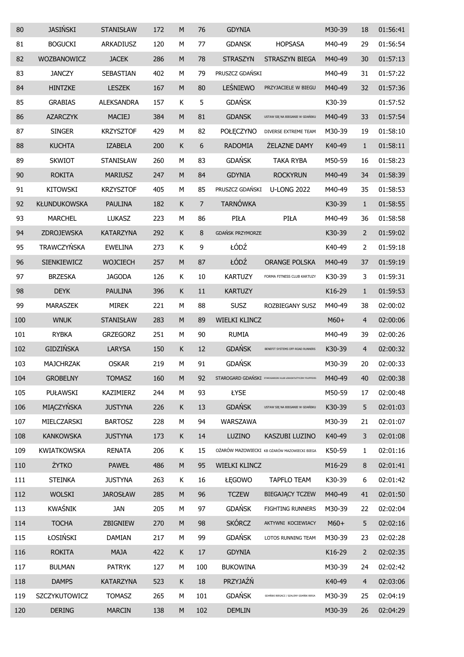| 80  | <b>JASIŃSKI</b>     | <b>STANISŁAW</b>  | 172 | M         | 76             | <b>GDYNIA</b>           |                                                                | M30-39 | 18             | 01:56:41 |
|-----|---------------------|-------------------|-----|-----------|----------------|-------------------------|----------------------------------------------------------------|--------|----------------|----------|
| 81  | <b>BOGUCKI</b>      | ARKADIUSZ         | 120 | M         | 77             | <b>GDANSK</b>           | <b>HOPSASA</b>                                                 | M40-49 | 29             | 01:56:54 |
| 82  | WOZBANOWICZ         | <b>JACEK</b>      | 286 | M         | 78             | <b>STRASZYN</b>         | STRASZYN BIEGA                                                 | M40-49 | 30             | 01:57:13 |
| 83  | <b>JANCZY</b>       | <b>SEBASTIAN</b>  | 402 | M         | 79             | PRUSZCZ GDAŃSKI         |                                                                | M40-49 | 31             | 01:57:22 |
| 84  | <b>HINTZKE</b>      | <b>LESZEK</b>     | 167 | ${\sf M}$ | 80             | LEŚNIEWO                | PRZYJACIELE W BIEGU                                            | M40-49 | 32             | 01:57:36 |
| 85  | <b>GRABIAS</b>      | <b>ALEKSANDRA</b> | 157 | К         | 5              | <b>GDAŃSK</b>           |                                                                | K30-39 |                | 01:57:52 |
| 86  | <b>AZARCZYK</b>     | <b>MACIEJ</b>     | 384 | ${\sf M}$ | 81             | <b>GDANSK</b>           | USTAW SIĘ NA BIEGANIE W GDAŃSKU                                | M40-49 | 33             | 01:57:54 |
| 87  | <b>SINGER</b>       | <b>KRZYSZTOF</b>  | 429 | М         | 82             | POŁĘCZYNO               | DIVERSE EXTREME TEAM                                           | M30-39 | 19             | 01:58:10 |
| 88  | <b>KUCHTA</b>       | <b>IZABELA</b>    | 200 | К         | 6              | <b>RADOMIA</b>          | <b>ŻELAZNE DAMY</b>                                            | K40-49 | $\mathbf{1}$   | 01:58:11 |
| 89  | <b>SKWIOT</b>       | STANISŁAW         | 260 | М         | 83             | <b>GDAŃSK</b>           | <b>TAKA RYBA</b>                                               | M50-59 | 16             | 01:58:23 |
| 90  | <b>ROKITA</b>       | <b>MARIUSZ</b>    | 247 | ${\sf M}$ | 84             | <b>GDYNIA</b>           | <b>ROCKYRUN</b>                                                | M40-49 | 34             | 01:58:39 |
| 91  | <b>KITOWSKI</b>     | <b>KRZYSZTOF</b>  | 405 | М         | 85             | PRUSZCZ GDAŃSKI         | <b>U-LONG 2022</b>                                             | M40-49 | 35             | 01:58:53 |
| 92  | <b>KŁUNDUKOWSKA</b> | <b>PAULINA</b>    | 182 | K         | $\overline{7}$ | <b>TARNÓWKA</b>         |                                                                | K30-39 | $\mathbf{1}$   | 01:58:55 |
| 93  | <b>MARCHEL</b>      | <b>LUKASZ</b>     | 223 | М         | 86             | PIŁA                    | PIŁA                                                           | M40-49 | 36             | 01:58:58 |
| 94  | ZDROJEWSKA          | <b>KATARZYNA</b>  | 292 | К         | 8              | <b>GDAŃSK PRZYMORZE</b> |                                                                | K30-39 | 2              | 01:59:02 |
| 95  | <b>TRAWCZYŃSKA</b>  | <b>EWELINA</b>    | 273 | К         | 9              | ŁÓDŹ                    |                                                                | K40-49 | 2              | 01:59:18 |
| 96  | SIENKIEWICZ         | <b>WOJCIECH</b>   | 257 | ${\sf M}$ | 87             | ŁÓDŹ                    | <b>ORANGE POLSKA</b>                                           | M40-49 | 37             | 01:59:19 |
| 97  | <b>BRZESKA</b>      | <b>JAGODA</b>     | 126 | К         | 10             | <b>KARTUZY</b>          | FORMA FITNESS CLUB KARTUZY                                     | K30-39 | 3              | 01:59:31 |
| 98  | <b>DEYK</b>         | <b>PAULINA</b>    | 396 | K         | $11\,$         | <b>KARTUZY</b>          |                                                                | K16-29 | $1\,$          | 01:59:53 |
| 99  | <b>MARASZEK</b>     | <b>MIREK</b>      | 221 | М         | 88             | <b>SUSZ</b>             | ROZBIEGANY SUSZ                                                | M40-49 | 38             | 02:00:02 |
| 100 | <b>WNUK</b>         | <b>STANISŁAW</b>  | 283 | ${\sf M}$ | 89             | <b>WIELKI KLINCZ</b>    |                                                                | $M60+$ | $\overline{4}$ | 02:00:06 |
| 101 | <b>RYBKA</b>        | <b>GRZEGORZ</b>   | 251 | M         | 90             | <b>RUMIA</b>            |                                                                | M40-49 | 39             | 02:00:26 |
| 102 | <b>GIDZIŃSKA</b>    | <b>LARYSA</b>     | 150 | К         | 12             | <b>GDAŃSK</b>           | BENEFIT SYSTEMS OFF-ROAD RUNNERS                               | K30-39 | 4              | 02:00:32 |
| 103 | <b>MAJCHRZAK</b>    | <b>OSKAR</b>      | 219 | М         | 91             | <b>GDAŃSK</b>           |                                                                | M30-39 | 20             | 02:00:33 |
| 104 | <b>GROBELNY</b>     | <b>TOMASZ</b>     | 160 | M         | 92             |                         | STAROGARD GDAŃSKI STAROGARDZKI KLUB LEKKOATLETYCZNY FILIPPIDES | M40-49 | 40             | 02:00:38 |
| 105 | <b>PUŁAWSKI</b>     | KAZIMIERZ         | 244 | M         | 93             | ŁYSE                    |                                                                | M50-59 | 17             | 02:00:48 |
| 106 | MIĄCZYŃSKA          | <b>JUSTYNA</b>    | 226 | К         | 13             | <b>GDAŃSK</b>           | USTAW SIĘ NA BIEGANIE W GDAŃSKU                                | K30-39 | 5              | 02:01:03 |
| 107 | MIELCZARSKI         | <b>BARTOSZ</b>    | 228 | М         | 94             | WARSZAWA                |                                                                | M30-39 | 21             | 02:01:07 |
| 108 | <b>KANKOWSKA</b>    | <b>JUSTYNA</b>    | 173 | К         | 14             | LUZINO                  | KASZUBI LUZINO                                                 | K40-49 | 3              | 02:01:08 |
| 109 | <b>KWIATKOWSKA</b>  | <b>RENATA</b>     | 206 | Κ         | 15             |                         | OŻARÓW MAZOWIECKI KB OŻARÓW MAZOWIECKI BIEGA                   | K50-59 | 1              | 02:01:16 |
| 110 | ŻYTKO               | <b>PAWEŁ</b>      | 486 | ${\sf M}$ | 95             | <b>WIELKI KLINCZ</b>    |                                                                | M16-29 | 8              | 02:01:41 |
| 111 | <b>STEINKA</b>      | <b>JUSTYNA</b>    | 263 | К         | 16             | ŁĘGOWO                  | <b>TAPFLO TEAM</b>                                             | K30-39 | 6              | 02:01:42 |
| 112 | <b>WOLSKI</b>       | <b>JAROSŁAW</b>   | 285 | $\sf M$   | 96             | <b>TCZEW</b>            | <b>BIEGAJĄCY TCZEW</b>                                         | M40-49 | 41             | 02:01:50 |
| 113 | <b>KWAŚNIK</b>      | <b>JAN</b>        | 205 | М         | 97             | <b>GDAŃSK</b>           | <b>FIGHTING RUNNERS</b>                                        | M30-39 | 22             | 02:02:04 |
| 114 | <b>TOCHA</b>        | ZBIGNIEW          | 270 | ${\sf M}$ | 98             | <b>SKÓRCZ</b>           | AKTYWNI KOCIEWIACY                                             | $M60+$ | 5              | 02:02:16 |
| 115 | ŁOSIŃSKI            | <b>DAMIAN</b>     | 217 | М         | 99             | <b>GDAŃSK</b>           | LOTOS RUNNING TEAM                                             | M30-39 | 23             | 02:02:28 |
| 116 | <b>ROKITA</b>       | <b>MAJA</b>       | 422 | К         | 17             | <b>GDYNIA</b>           |                                                                | K16-29 | $\overline{2}$ | 02:02:35 |
| 117 | <b>BULMAN</b>       | <b>PATRYK</b>     | 127 | М         | 100            | <b>BUKOWINA</b>         |                                                                | M30-39 | 24             | 02:02:42 |
| 118 | <b>DAMPS</b>        | <b>KATARZYNA</b>  | 523 | К         | 18             | PRZYJAŹŃ                |                                                                | K40-49 | $\overline{4}$ | 02:03:06 |
| 119 | SZCZYKUTOWICZ       | <b>TOMASZ</b>     | 265 | М         | 101            | <b>GDAŃSK</b>           | GDAŃSKI BIEGACZ / SZALONY GDAŃSK BIEGA                         | M30-39 | 25             | 02:04:19 |
| 120 | <b>DERING</b>       | <b>MARCIN</b>     | 138 | ${\sf M}$ | 102            | <b>DEMLIN</b>           |                                                                | M30-39 | 26             | 02:04:29 |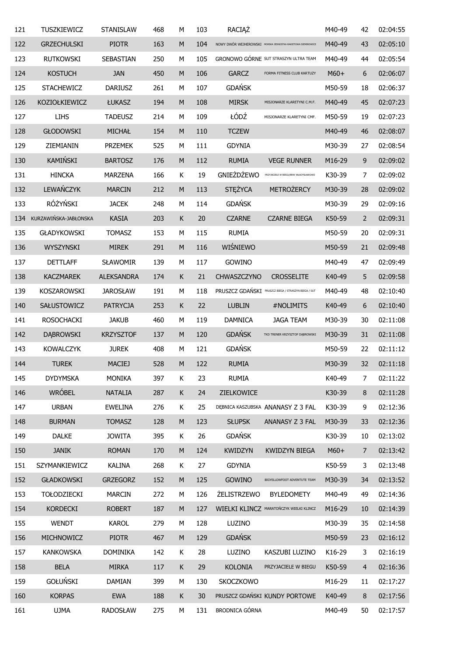| 121 | TUSZKIEWICZ           | <b>STANISLAW</b>  | 468 | М           | 103 | RACIĄŻ             |                                                              | M40-49 | 42             | 02:04:55 |
|-----|-----------------------|-------------------|-----|-------------|-----|--------------------|--------------------------------------------------------------|--------|----------------|----------|
| 122 | <b>GRZECHULSKI</b>    | <b>PIOTR</b>      | 163 | M           | 104 |                    | NOWY DWÓR WEJHEROWSKI MORSKA JEDNOSTKA RAKIETOWA SIEMIROWICE | M40-49 | 43             | 02:05:10 |
| 123 | <b>RUTKOWSKI</b>      | SEBASTIAN         | 250 | М           | 105 |                    | <b>GRONOWO GÓRNE SUT STRASZYN ULTRA TEAM</b>                 | M40-49 | 44             | 02:05:54 |
| 124 | <b>KOSTUCH</b>        | <b>JAN</b>        | 450 | M           | 106 | <b>GARCZ</b>       | FORMA FITNESS CLUB KARTUZY                                   | $M60+$ | 6              | 02:06:07 |
| 125 | <b>STACHEWICZ</b>     | <b>DARIUSZ</b>    | 261 | М           | 107 | <b>GDAŃSK</b>      |                                                              | M50-59 | 18             | 02:06:37 |
| 126 | <b>KOZIOŁKIEWICZ</b>  | ŁUKASZ            | 194 | M           | 108 | <b>MIRSK</b>       | MISJONARZE KLARETYNI C.M.F.                                  | M40-49 | 45             | 02:07:23 |
| 127 | <b>LIHS</b>           | <b>TADEUSZ</b>    | 214 | М           | 109 | ŁÓDŹ               | MISJONARZE KLARETYNI CMF.                                    | M50-59 | 19             | 02:07:23 |
| 128 | <b>GŁODOWSKI</b>      | MICHAŁ            | 154 | M           | 110 | <b>TCZEW</b>       |                                                              | M40-49 | 46             | 02:08:07 |
| 129 | ZIEMIANIN             | <b>PRZEMEK</b>    | 525 | M           | 111 | <b>GDYNIA</b>      |                                                              | M30-39 | 27             | 02:08:54 |
| 130 | KAMIŃSKI              | <b>BARTOSZ</b>    | 176 | M           | 112 | <b>RUMIA</b>       | <b>VEGE RUNNER</b>                                           | M16-29 | 9              | 02:09:02 |
| 131 | <b>HINCKA</b>         | <b>MARZENA</b>    | 166 | Κ           | 19  | <b>GNIEŻDŻEWO</b>  | PRZYJACIELE W BIEGU/BRW WŁADYSŁAWOWO                         | K30-39 | 7              | 02:09:02 |
| 132 | LEWAŃCZYK             | <b>MARCIN</b>     | 212 | M           | 113 | <b>STĘŻYCA</b>     | METROŻERCY                                                   | M30-39 | 28             | 02:09:02 |
| 133 | RÓŻYŃSKI              | <b>JACEK</b>      | 248 | М           | 114 | <b>GDAŃSK</b>      |                                                              | M30-39 | 29             | 02:09:16 |
| 134 | KURZAWIŃSKA-JABŁONSKA | <b>KASIA</b>      | 203 | K           | 20  | <b>CZARNE</b>      | <b>CZARNE BIEGA</b>                                          | K50-59 | 2              | 02:09:31 |
| 135 | <b>GŁADYKOWSKI</b>    | <b>TOMASZ</b>     | 153 | М           | 115 | <b>RUMIA</b>       |                                                              | M50-59 | 20             | 02:09:31 |
| 136 | <b>WYSZYNSKI</b>      | <b>MIREK</b>      | 291 | M           | 116 | WIŚNIEWO           |                                                              | M50-59 | 21             | 02:09:48 |
| 137 | <b>DETTLAFF</b>       | <b>SŁAWOMIR</b>   | 139 | М           | 117 | <b>GOWINO</b>      |                                                              | M40-49 | 47             | 02:09:49 |
| 138 | <b>KACZMAREK</b>      | <b>ALEKSANDRA</b> | 174 | К           | 21  | CHWASZCZYNO        | <b>CROSSELITE</b>                                            | K40-49 | 5              | 02:09:58 |
| 139 | KOSZAROWSKI           | <b>JAROSŁAW</b>   | 191 | М           | 118 |                    | PRUSZCZ GDAŃSKI PRUSZCZ BIEGA / STRASZYN BIEGA / SUT         | M40-49 | 48             | 02:10:40 |
| 140 | SAŁUSTOWICZ           | <b>PATRYCJA</b>   | 253 | К           | 22  | <b>LUBLIN</b>      | #NOLIMITS                                                    | K40-49 | 6              | 02:10:40 |
| 141 | <b>ROSOCHACKI</b>     | <b>JAKUB</b>      | 460 | М           | 119 | <b>DAMNICA</b>     | <b>JAGA TEAM</b>                                             | M30-39 | 30             | 02:11:08 |
| 142 | <b>DABROWSKI</b>      | <b>KRZYSZTOF</b>  | 137 | M           | 120 | <b>GDAŃSK</b>      | TKD TRENER KRZYSZTOF DĄBROWSKI                               | M30-39 | 31             | 02:11:08 |
| 143 | <b>KOWALCZYK</b>      | <b>JUREK</b>      | 408 | М           | 121 | <b>GDAŃSK</b>      |                                                              | M50-59 | 22             | 02:11:12 |
| 144 | <b>TUREK</b>          | <b>MACIEJ</b>     | 528 | M           | 122 | <b>RUMIA</b>       |                                                              | M30-39 | 32             | 02:11:18 |
| 145 | <b>DYDYMSKA</b>       | <b>MONIKA</b>     | 397 | Κ           | 23  | <b>RUMIA</b>       |                                                              | K40-49 | $\overline{7}$ | 02:11:22 |
| 146 | <b>WRÓBEL</b>         | <b>NATALIA</b>    | 287 | $\mathsf K$ | 24  | ZIELKOWICE         |                                                              | K30-39 | 8              | 02:11:28 |
| 147 | <b>URBAN</b>          | <b>EWELINA</b>    | 276 | Κ           | 25  |                    | DEBNICA KASZUBSKA ANANASY Z 3 FAL                            | K30-39 | 9              | 02:12:36 |
| 148 | <b>BURMAN</b>         | <b>TOMASZ</b>     | 128 | M           | 123 | <b>SŁUPSK</b>      | ANANASY Z 3 FAL                                              | M30-39 | 33             | 02:12:36 |
| 149 | <b>DALKE</b>          | <b>JOWITA</b>     | 395 | Κ           | 26  | <b>GDAŃSK</b>      |                                                              | K30-39 | 10             | 02:13:02 |
| 150 | <b>JANIK</b>          | <b>ROMAN</b>      | 170 | M           | 124 | <b>KWIDZYN</b>     | <b>KWIDZYN BIEGA</b>                                         | $M60+$ | $\overline{7}$ | 02:13:42 |
| 151 | SZYMANKIEWICZ         | KALINA            | 268 | Κ           | 27  | <b>GDYNIA</b>      |                                                              | K50-59 | 3              | 02:13:48 |
| 152 | <b>GŁADKOWSKI</b>     | <b>GRZEGORZ</b>   | 152 | M           | 125 | GOWINO             | BIGYELLOWFOOT ADVENTUTE TEAM                                 | M30-39 | 34             | 02:13:52 |
| 153 | <b>TOŁODZIECKI</b>    | <b>MARCIN</b>     | 272 | М           | 126 | <b>ŻELISTRZEWO</b> | <b>BYLEDOMETY</b>                                            | M40-49 | 49             | 02:14:36 |
| 154 | <b>KORDECKI</b>       | <b>ROBERT</b>     | 187 | M           | 127 |                    | WIELKI KLINCZ MARATOŃCZYK WIELKI KLINCZ                      | M16-29 | 10             | 02:14:39 |
| 155 | <b>WENDT</b>          | <b>KAROL</b>      | 279 | M           | 128 | LUZINO             |                                                              | M30-39 | 35             | 02:14:58 |
| 156 | MICHNOWICZ            | <b>PIOTR</b>      | 467 | ${\sf M}$   | 129 | <b>GDAŃSK</b>      |                                                              | M50-59 | 23             | 02:16:12 |
| 157 | <b>KANKOWSKA</b>      | <b>DOMINIKA</b>   | 142 | Κ           | 28  | LUZINO             | KASZUBI LUZINO                                               | K16-29 | 3              | 02:16:19 |
| 158 | <b>BELA</b>           | <b>MIRKA</b>      | 117 | K           | 29  | <b>KOLONIA</b>     | PRZYJACIELE W BIEGU                                          | K50-59 | $\overline{4}$ | 02:16:36 |
| 159 | <b>GOŁUŃSKI</b>       | <b>DAMIAN</b>     | 399 | М           | 130 | SKOCZKOWO          |                                                              | M16-29 | 11             | 02:17:27 |
| 160 | <b>KORPAS</b>         | <b>EWA</b>        | 188 | K           | 30  |                    | PRUSZCZ GDAŃSKI KUNDY PORTOWE                                | K40-49 | 8              | 02:17:56 |
| 161 | <b>UJMA</b>           | <b>RADOSŁAW</b>   | 275 | М           | 131 | BRODNICA GÓRNA     |                                                              | M40-49 | 50             | 02:17:57 |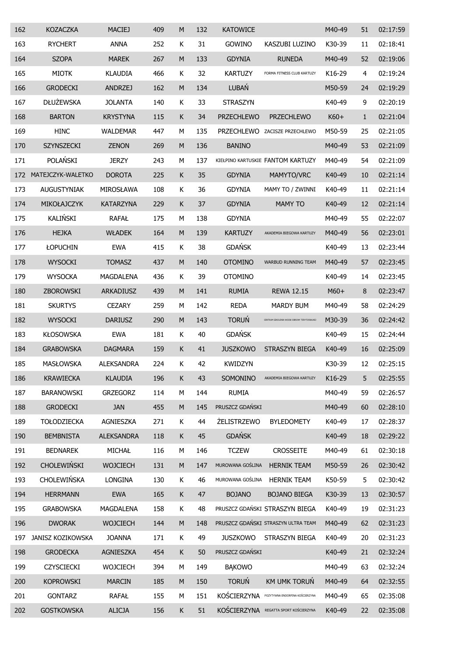| 162 | <b>KOZACZKA</b>    | <b>MACIEJ</b>     | 409 | M         | 132 | <b>KATOWICE</b>    |                                              | M40-49 | 51           | 02:17:59 |
|-----|--------------------|-------------------|-----|-----------|-----|--------------------|----------------------------------------------|--------|--------------|----------|
| 163 | <b>RYCHERT</b>     | <b>ANNA</b>       | 252 | К         | 31  | GOWINO             | KASZUBI LUZINO                               | K30-39 | 11           | 02:18:41 |
| 164 | <b>SZOPA</b>       | <b>MAREK</b>      | 267 | ${\sf M}$ | 133 | <b>GDYNIA</b>      | <b>RUNEDA</b>                                | M40-49 | 52           | 02:19:06 |
| 165 | <b>MIOTK</b>       | <b>KLAUDIA</b>    | 466 | К         | 32  | <b>KARTUZY</b>     | FORMA FITNESS CLUB KARTUZY                   | K16-29 | 4            | 02:19:24 |
| 166 | <b>GRODECKI</b>    | <b>ANDRZEJ</b>    | 162 | ${\sf M}$ | 134 | LUBAŃ              |                                              | M50-59 | 24           | 02:19:29 |
| 167 | <b>DŁUŻEWSKA</b>   | <b>JOLANTA</b>    | 140 | К         | 33  | <b>STRASZYN</b>    |                                              | K40-49 | 9            | 02:20:19 |
| 168 | <b>BARTON</b>      | <b>KRYSTYNA</b>   | 115 | К         | 34  | <b>PRZECHLEWO</b>  | PRZECHLEWO                                   | $K60+$ | $\mathbf{1}$ | 02:21:04 |
| 169 | <b>HINC</b>        | <b>WALDEMAR</b>   | 447 | М         | 135 |                    | PRZECHLEWO ZACISZE PRZECHLEWO                | M50-59 | 25           | 02:21:05 |
| 170 | SZYNSZECKI         | <b>ZENON</b>      | 269 | ${\sf M}$ | 136 | <b>BANINO</b>      |                                              | M40-49 | 53           | 02:21:09 |
| 171 | POLAŃSKI           | <b>JERZY</b>      | 243 | М         | 137 |                    | KIEŁPINO KARTUSKIE FANTOM KARTUZY            | M40-49 | 54           | 02:21:09 |
| 172 | MATEJCZYK-WALETKO  | <b>DOROTA</b>     | 225 | К         | 35  | <b>GDYNIA</b>      | MAMYTO/VRC                                   | K40-49 | 10           | 02:21:14 |
| 173 | AUGUSTYNIAK        | MIROSŁAWA         | 108 | Κ         | 36  | <b>GDYNIA</b>      | MAMY TO / ZWINNI                             | K40-49 | 11           | 02:21:14 |
| 174 | MIKOŁAJCZYK        | <b>KATARZYNA</b>  | 229 | К         | 37  | <b>GDYNIA</b>      | <b>MAMY TO</b>                               | K40-49 | 12           | 02:21:14 |
| 175 | KALIŃSKI           | <b>RAFAŁ</b>      | 175 | М         | 138 | <b>GDYNIA</b>      |                                              | M40-49 | 55           | 02:22:07 |
| 176 | <b>HEJKA</b>       | <b>WŁADEK</b>     | 164 | ${\sf M}$ | 139 | <b>KARTUZY</b>     | AKADEMIA BIEGOWA KARTUZY                     | M40-49 | 56           | 02:23:01 |
| 177 | ŁOPUCHIN           | <b>EWA</b>        | 415 | К         | 38  | <b>GDAŃSK</b>      |                                              | K40-49 | 13           | 02:23:44 |
| 178 | <b>WYSOCKI</b>     | <b>TOMASZ</b>     | 437 | M         | 140 | <b>OTOMINO</b>     | WARBUD RUNNING TEAM                          | M40-49 | 57           | 02:23:45 |
| 179 | <b>WYSOCKA</b>     | MAGDALENA         | 436 | К         | 39  | <b>OTOMINO</b>     |                                              | K40-49 | 14           | 02:23:45 |
| 180 | ZBOROWSKI          | ARKADIUSZ         | 439 | ${\sf M}$ | 141 | <b>RUMIA</b>       | <b>REWA 12.15</b>                            | $M60+$ | 8            | 02:23:47 |
| 181 | <b>SKURTYS</b>     | <b>CEZARY</b>     | 259 | М         | 142 | <b>REDA</b>        | <b>MARDY BUM</b>                             | M40-49 | 58           | 02:24:29 |
| 182 | <b>WYSOCKI</b>     | <b>DARIUSZ</b>    | 290 | M         | 143 | <b>TORUŃ</b>       | CENTRUM SZKOLENIA WOJSK OBRONY TERYTORIALNEJ | M30-39 | 36           | 02:24:42 |
| 183 | <b>KŁOSOWSKA</b>   | <b>EWA</b>        | 181 | К         | 40  | <b>GDAŃSK</b>      |                                              | K40-49 | 15           | 02:24:44 |
| 184 | <b>GRABOWSKA</b>   | <b>DAGMARA</b>    | 159 | К         | 41  | <b>JUSZKOWO</b>    | STRASZYN BIEGA                               | K40-49 | 16           | 02:25:09 |
| 185 | <b>MASŁOWSKA</b>   | <b>ALEKSANDRA</b> | 224 | K         | 42  | <b>KWIDZYN</b>     |                                              | K30-39 | 12           | 02:25:15 |
| 186 | <b>KRAWIECKA</b>   | <b>KLAUDIA</b>    | 196 | К         | 43  | SOMONINO           | AKADEMIA BIEGOWA KARTUZY                     | K16-29 | 5            | 02:25:55 |
| 187 | <b>BARANOWSKI</b>  | <b>GRZEGORZ</b>   | 114 | M         | 144 | <b>RUMIA</b>       |                                              | M40-49 | 59           | 02:26:57 |
| 188 | <b>GRODECKI</b>    | <b>JAN</b>        | 455 | ${\sf M}$ | 145 | PRUSZCZ GDAŃSKI    |                                              | M40-49 | 60           | 02:28:10 |
| 189 | <b>TOŁODZIECKA</b> | AGNIESZKA         | 271 | К         | 44  | <b>ŻELISTRZEWO</b> | <b>BYLEDOMETY</b>                            | K40-49 | 17           | 02:28:37 |
| 190 | <b>BEMBNISTA</b>   | <b>ALEKSANDRA</b> | 118 | К         | 45  | <b>GDAŃSK</b>      |                                              | K40-49 | 18           | 02:29:22 |
| 191 | <b>BEDNAREK</b>    | MICHAŁ            | 116 | М         | 146 | <b>TCZEW</b>       | <b>CROSSEITE</b>                             | M40-49 | 61           | 02:30:18 |
| 192 | CHOLEWIŃSKI        | <b>WOJCIECH</b>   | 131 | ${\sf M}$ | 147 | MUROWANA GOŚLINA   | <b>HERNIK TEAM</b>                           | M50-59 | 26           | 02:30:42 |
| 193 | CHOLEWIŃSKA        | <b>LONGINA</b>    | 130 | К         | 46  | MUROWANA GOŚLINA   | <b>HERNIK TEAM</b>                           | K50-59 | 5            | 02:30:42 |
| 194 | <b>HERRMANN</b>    | <b>EWA</b>        | 165 | К         | 47  | <b>BOJANO</b>      | <b>BOJANO BIEGA</b>                          | K30-39 | 13           | 02:30:57 |
| 195 | <b>GRABOWSKA</b>   | MAGDALENA         | 158 | К         | 48  |                    | PRUSZCZ GDAŃSKI STRASZYN BIEGA               | K40-49 | 19           | 02:31:23 |
| 196 | <b>DWORAK</b>      | <b>WOJCIECH</b>   | 144 | ${\sf M}$ | 148 |                    | PRUSZCZ GDAŃSKI STRASZYN ULTRA TEAM          | M40-49 | 62           | 02:31:23 |
| 197 | JANISZ KOZIKOWSKA  | <b>JOANNA</b>     | 171 | К         | 49  | <b>JUSZKOWO</b>    | STRASZYN BIEGA                               | K40-49 | 20           | 02:31:23 |
| 198 | <b>GRODECKA</b>    | AGNIESZKA         | 454 | К         | 50  | PRUSZCZ GDAŃSKI    |                                              | K40-49 | 21           | 02:32:24 |
| 199 | CZYSCIECKI         | <b>WOJCIECH</b>   | 394 | М         | 149 | <b>BAKOWO</b>      |                                              | M40-49 | 63           | 02:32:24 |
| 200 | <b>KOPROWSKI</b>   | <b>MARCIN</b>     | 185 | M         | 150 | <b>TORUŃ</b>       | KM UMK TORUŃ                                 | M40-49 | 64           | 02:32:55 |
| 201 | <b>GONTARZ</b>     | <b>RAFAŁ</b>      | 155 | М         | 151 | KOŚCIERZYNA        | POZYTYWNA ENDORFINA KOŚCIERZYNA              | M40-49 | 65           | 02:35:08 |
| 202 | <b>GOSTKOWSKA</b>  | <b>ALICJA</b>     | 156 | К         | 51  | KOŚCIERZYNA        | REGATTA SPORT KOŚCIERZYNA                    | K40-49 | 22           | 02:35:08 |